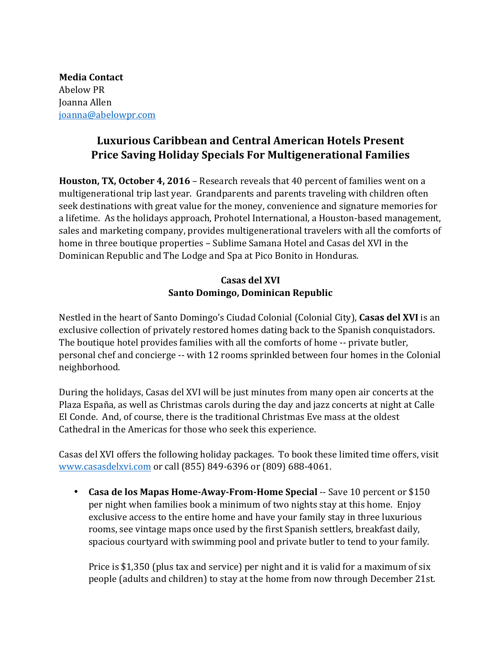**Media Contact** Abelow PR Joanna Allen joanna@abelowpr.com

## **Luxurious Caribbean and Central American Hotels Present Price Saving Holiday Specials For Multigenerational Families**

**Houston, TX, October 4, 2016** – Research reveals that 40 percent of families went on a multigenerational trip last year. Grandparents and parents traveling with children often seek destinations with great value for the money, convenience and signature memories for a lifetime. As the holidays approach, Prohotel International, a Houston-based management, sales and marketing company, provides multigenerational travelers with all the comforts of home in three boutique properties - Sublime Samana Hotel and Casas del XVI in the Dominican Republic and The Lodge and Spa at Pico Bonito in Honduras.

## **Casas del XVI Santo Domingo, Dominican Republic**

Nestled in the heart of Santo Domingo's Ciudad Colonial (Colonial City), Casas del XVI is an exclusive collection of privately restored homes dating back to the Spanish conquistadors. The boutique hotel provides families with all the comforts of home -- private butler, personal chef and concierge -- with 12 rooms sprinkled between four homes in the Colonial neighborhood.

During the holidays, Casas del XVI will be just minutes from many open air concerts at the Plaza España, as well as Christmas carols during the day and jazz concerts at night at Calle El Conde. And, of course, there is the traditional Christmas Eve mass at the oldest Cathedral in the Americas for those who seek this experience.

Casas del XVI offers the following holiday packages. To book these limited time offers, visit www.casasdelxvi.com or call (855) 849-6396 or (809) 688-4061.

• **Casa de los Mapas Home-Away-From-Home Special** -- Save 10 percent or \$150 per night when families book a minimum of two nights stay at this home. Enjoy exclusive access to the entire home and have your family stay in three luxurious rooms, see vintage maps once used by the first Spanish settlers, breakfast daily, spacious courtyard with swimming pool and private butler to tend to your family.

Price is \$1,350 (plus tax and service) per night and it is valid for a maximum of six people (adults and children) to stay at the home from now through December 21st.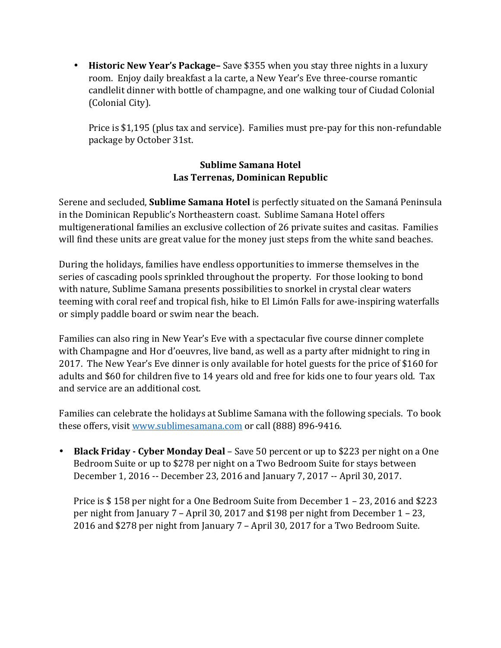• **Historic New Year's Package–** Save \$355 when you stay three nights in a luxury room. Enjoy daily breakfast a la carte, a New Year's Eve three-course romantic candlelit dinner with bottle of champagne, and one walking tour of Ciudad Colonial (Colonial City).

Price is \$1,195 (plus tax and service). Families must pre-pay for this non-refundable package by October 31st.

## **Sublime Samana Hotel Las Terrenas, Dominican Republic**

Serene and secluded, **Sublime Samana Hotel** is perfectly situated on the Samaná Peninsula in the Dominican Republic's Northeastern coast. Sublime Samana Hotel offers multigenerational families an exclusive collection of 26 private suites and casitas. Families will find these units are great value for the money just steps from the white sand beaches.

During the holidays, families have endless opportunities to immerse themselves in the series of cascading pools sprinkled throughout the property. For those looking to bond with nature, Sublime Samana presents possibilities to snorkel in crystal clear waters teeming with coral reef and tropical fish, hike to El Limón Falls for awe-inspiring waterfalls or simply paddle board or swim near the beach.

Families can also ring in New Year's Eve with a spectacular five course dinner complete with Champagne and Hor d'oeuvres, live band, as well as a party after midnight to ring in 2017. The New Year's Eve dinner is only available for hotel guests for the price of \$160 for adults and \$60 for children five to 14 years old and free for kids one to four years old. Tax and service are an additional cost.

Families can celebrate the holidays at Sublime Samana with the following specials. To book these offers, visit www.sublimesamana.com or call (888) 896-9416.

• **Black Friday** - Cyber Monday Deal – Save 50 percent or up to \$223 per night on a One Bedroom Suite or up to \$278 per night on a Two Bedroom Suite for stays between December 1, 2016 -- December 23, 2016 and January 7, 2017 -- April 30, 2017.

Price is  $$158$  per night for a One Bedroom Suite from December  $1 - 23$ , 2016 and \$223 per night from January  $7$  – April 30, 2017 and \$198 per night from December  $1 - 23$ , 2016 and \$278 per night from January 7 - April 30, 2017 for a Two Bedroom Suite.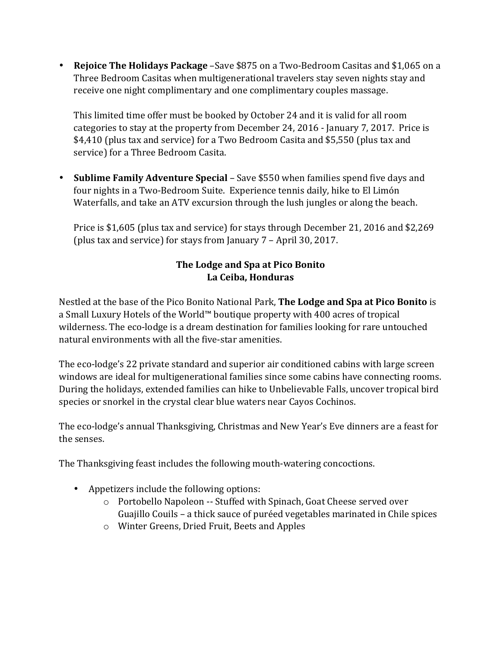• **Rejoice The Holidays Package** –Save \$875 on a Two-Bedroom Casitas and \$1,065 on a Three Bedroom Casitas when multigenerational travelers stay seven nights stay and receive one night complimentary and one complimentary couples massage.

This limited time offer must be booked by October 24 and it is valid for all room categories to stay at the property from December 24, 2016 - January 7, 2017. Price is \$4,410 (plus tax and service) for a Two Bedroom Casita and \$5,550 (plus tax and service) for a Three Bedroom Casita.

• Sublime Family Adventure Special – Save \$550 when families spend five days and four nights in a Two-Bedroom Suite. Experience tennis daily, hike to El Limón Waterfalls, and take an ATV excursion through the lush jungles or along the beach.

Price is \$1,605 (plus tax and service) for stays through December 21, 2016 and \$2,269 (plus tax and service) for stays from January  $7$  – April 30, 2017.

## The Lodge and Spa at Pico Bonito **La Ceiba, Honduras**

Nestled at the base of the Pico Bonito National Park, **The Lodge and Spa at Pico Bonito** is a Small Luxury Hotels of the World™ boutique property with 400 acres of tropical wilderness. The eco-lodge is a dream destination for families looking for rare untouched natural environments with all the five-star amenities.

The eco-lodge's 22 private standard and superior air conditioned cabins with large screen windows are ideal for multigenerational families since some cabins have connecting rooms. During the holidays, extended families can hike to Unbelievable Falls, uncover tropical bird species or snorkel in the crystal clear blue waters near Cayos Cochinos.

The eco-lodge's annual Thanksgiving, Christmas and New Year's Eve dinners are a feast for the senses.

The Thanksgiving feast includes the following mouth-watering concoctions.

- Appetizers include the following options:
	- o Portobello Napoleon -- Stuffed with Spinach, Goat Cheese served over Guajillo Couils – a thick sauce of puréed vegetables marinated in Chile spices
	- o Winter Greens, Dried Fruit, Beets and Apples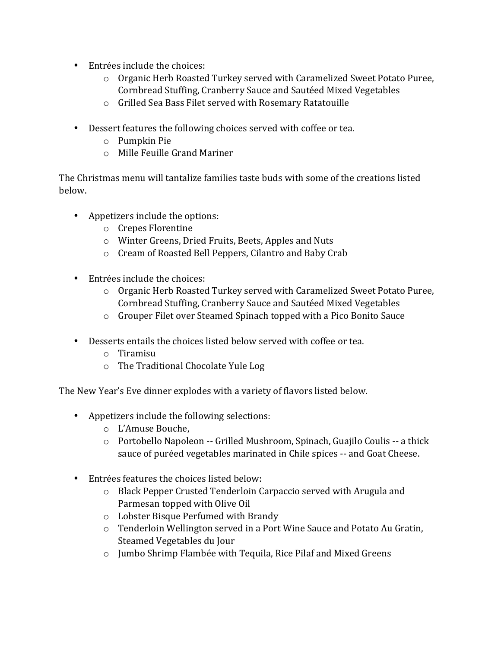- Entrées include the choices:
	- $\circ$  Organic Herb Roasted Turkey served with Caramelized Sweet Potato Puree, Cornbread Stuffing, Cranberry Sauce and Sautéed Mixed Vegetables
	- o Grilled Sea Bass Filet served with Rosemary Ratatouille
- Dessert features the following choices served with coffee or tea.
	- $\circ$  Pumpkin Pie
	- $\circ$  Mille Feuille Grand Mariner

The Christmas menu will tantalize families taste buds with some of the creations listed below.

- Appetizers include the options:
	- o Crepes Florentine
	- $\circ$  Winter Greens, Dried Fruits, Beets, Apples and Nuts
	- $\circ$  Cream of Roasted Bell Peppers, Cilantro and Baby Crab
- Entrées include the choices:
	- $\circ$  Organic Herb Roasted Turkey served with Caramelized Sweet Potato Puree, Cornbread Stuffing, Cranberry Sauce and Sautéed Mixed Vegetables
	- $\circ$  Grouper Filet over Steamed Spinach topped with a Pico Bonito Sauce
- Desserts entails the choices listed below served with coffee or tea.
	- o Tiramisu
	- $\circ$  The Traditional Chocolate Yule Log

The New Year's Eve dinner explodes with a variety of flavors listed below.

- Appetizers include the following selections:
	- o L'Amuse Bouche,
	- o Portobello Napoleon -- Grilled Mushroom, Spinach, Guajilo Coulis -- a thick sauce of puréed vegetables marinated in Chile spices -- and Goat Cheese.
- Entrées features the choices listed below:
	- $\circ$  Black Pepper Crusted Tenderloin Carpaccio served with Arugula and Parmesan topped with Olive Oil
	- o Lobster Bisque Perfumed with Brandy
	- o Tenderloin Wellington served in a Port Wine Sauce and Potato Au Gratin, Steamed Vegetables du Jour
	- $\circ$  Jumbo Shrimp Flambée with Tequila, Rice Pilaf and Mixed Greens